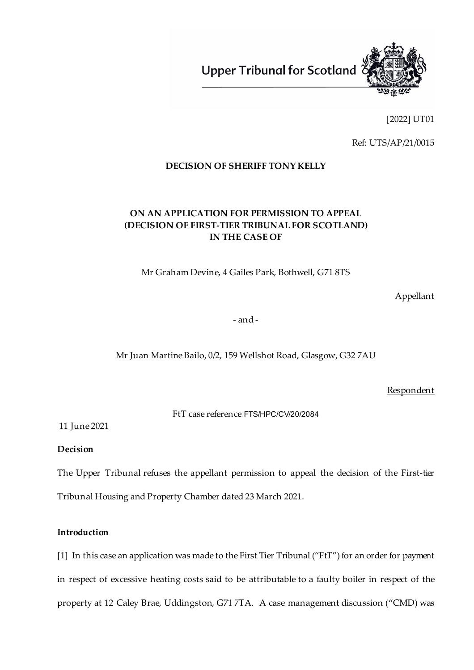

[2022] UT01

Ref: UTS/AP/21/0015

### **DECISION OF SHERIFF TONY KELLY**

### **ON AN APPLICATION FOR PERMISSION TO APPEAL (DECISION OF FIRST-TIER TRIBUNAL FOR SCOTLAND) IN THE CASE OF**

Mr Graham Devine, 4 Gailes Park, Bothwell, G71 8TS

Appellant

- and -

Mr Juan Martine Bailo, 0/2, 159 Wellshot Road, Glasgow, G32 7AU

**Respondent** 

FtT case reference FTS/HPC/CV/20/2084

11 June 2021

**Decision**

The Upper Tribunal refuses the appellant permission to appeal the decision of the First-tier Tribunal Housing and Property Chamber dated 23 March 2021.

### **Introduction**

[1] In this case an application was made to the First Tier Tribunal ("FtT") for an order for payment in respect of excessive heating costs said to be attributable to a faulty boiler in respect of the property at 12 Caley Brae, Uddingston, G71 7TA. A case management discussion ("CMD) was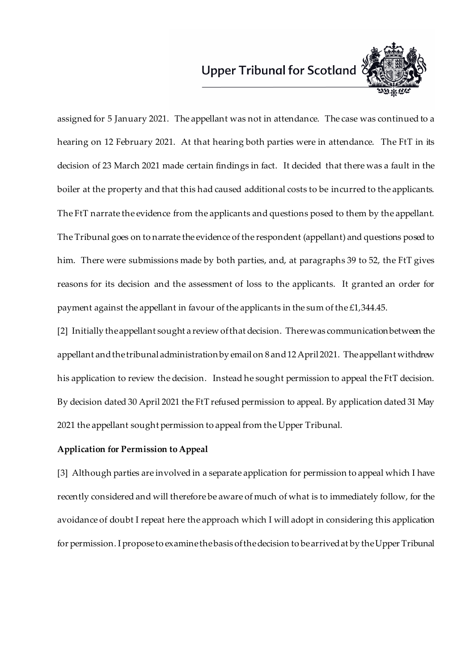

assigned for 5 January 2021. The appellant was not in attendance. The case was continued to a hearing on 12 February 2021. At that hearing both parties were in attendance. The FtT in its decision of 23 March 2021 made certain findings in fact. It decided that there was a fault in the boiler at the property and that this had caused additional costs to be incurred to the applicants. The FtT narrate the evidence from the applicants and questions posed to them by the appellant. The Tribunal goes on to narrate the evidence of the respondent (appellant) and questions posed to him. There were submissions made by both parties, and, at paragraphs 39 to 52, the FtT gives reasons for its decision and the assessment of loss to the applicants. It granted an order for payment against the appellant in favour of the applicants in the sum of the £1,344.45.

[2] Initially the appellant sought a review of that decision. There was communication between the appellant and the tribunal administration by email on 8 and 12 April 2021. The appellant withdrew his application to review the decision. Instead he sought permission to appeal the FtT decision. By decision dated 30 April 2021 the FtT refused permission to appeal. By application dated 31 May 2021 the appellant sought permission to appeal from the Upper Tribunal.

#### **Application for Permission to Appeal**

[3] Although parties are involved in a separate application for permission to appeal which I have recently considered and will therefore be aware of much of what is to immediately follow, for the avoidance of doubt I repeat here the approach which I will adopt in considering this application for permission. I propose to examine the basis of the decision to be arrived at by the Upper Tribunal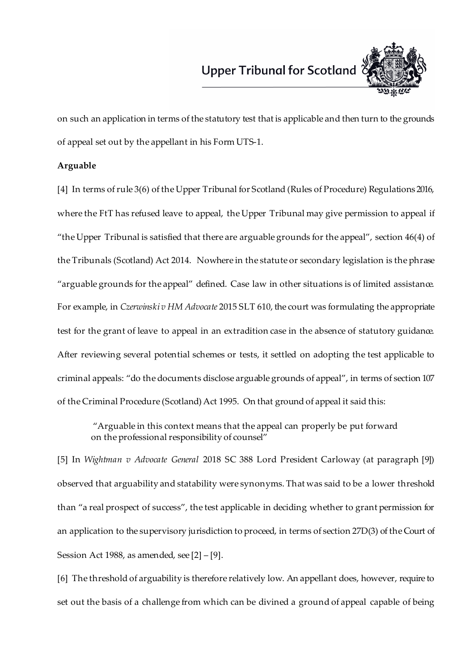

on such an application in terms of the statutory test that is applicable and then turn to the grounds of appeal set out by the appellant in his Form UTS-1.

#### **Arguable**

[4] In terms of rule 3(6) of the Upper Tribunal for Scotland (Rules of Procedure) Regulations 2016, where the FtT has refused leave to appeal, the Upper Tribunal may give permission to appeal if "the Upper Tribunal is satisfied that there are arguable grounds for the appeal", section 46(4) of the Tribunals (Scotland) Act 2014. Nowhere in the statute or secondary legislation is the phrase "arguable grounds for the appeal" defined. Case law in other situations is of limited assistance. For example, in *Czerwinski v HM Advocate* 2015 SLT 610, the court was formulating the appropriate test for the grant of leave to appeal in an extradition case in the absence of statutory guidance. After reviewing several potential schemes or tests, it settled on adopting the test applicable to criminal appeals: "do the documents disclose arguable grounds of appeal", in terms of section 107 of the Criminal Procedure (Scotland) Act 1995. On that ground of appeal it said this:

"Arguable in this context means that the appeal can properly be put forward on the professional responsibility of counsel"

[5] In *Wightman v Advocate General* 2018 SC 388 Lord President Carloway (at paragraph [9]) observed that arguability and statability were synonyms. That was said to be a lower threshold than "a real prospect of success", the test applicable in deciding whether to grant permission for an application to the supervisory jurisdiction to proceed, in terms of section 27D(3) of the Court of Session Act 1988, as amended, see [2] – [9].

[6] The threshold of arguability is therefore relatively low. An appellant does, however, require to set out the basis of a challenge from which can be divined a ground of appeal capable of being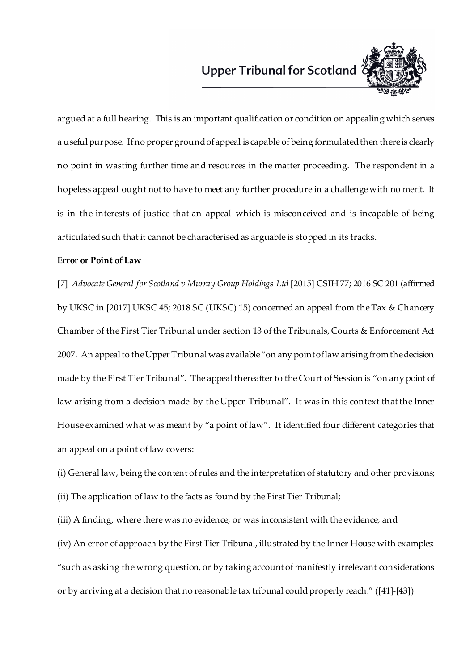

argued at a full hearing. This is an important qualification or condition on appealing which serves a useful purpose. If no proper ground of appeal is capable of being formulated then there is clearly no point in wasting further time and resources in the matter proceeding. The respondent in a hopeless appeal ought not to have to meet any further procedure in a challenge with no merit. It is in the interests of justice that an appeal which is misconceived and is incapable of being articulated such that it cannot be characterised as arguable is stopped in its tracks.

#### **Error or Point of Law**

[7] *Advocate General for Scotland v Murray Group Holdings Ltd* [2015] CSIH 77; 2016 SC 201 (affirmed by UKSC in [2017] UKSC 45; 2018 SC (UKSC) 15) concerned an appeal from the Tax & Chancery Chamber of the First Tier Tribunal under section 13 of the Tribunals, Courts & Enforcement Act 2007. An appeal to the Upper Tribunal was available "on any point of law arising from the decision made by the First Tier Tribunal". The appeal thereafter to the Court of Session is "on any point of law arising from a decision made by the Upper Tribunal". It was in this context that the Inner House examined what was meant by "a point of law". It identified four different categories that an appeal on a point of law covers:

(i) General law, being the content of rules and the interpretation of statutory and other provisions; (ii) The application of law to the facts as found by the First Tier Tribunal;

(iii) A finding, where there was no evidence, or was inconsistent with the evidence; and

(iv) An error of approach by the First Tier Tribunal, illustrated by the Inner House with examples: "such as asking the wrong question, or by taking account of manifestly irrelevant considerations or by arriving at a decision that no reasonable tax tribunal could properly reach." ([41]-[43])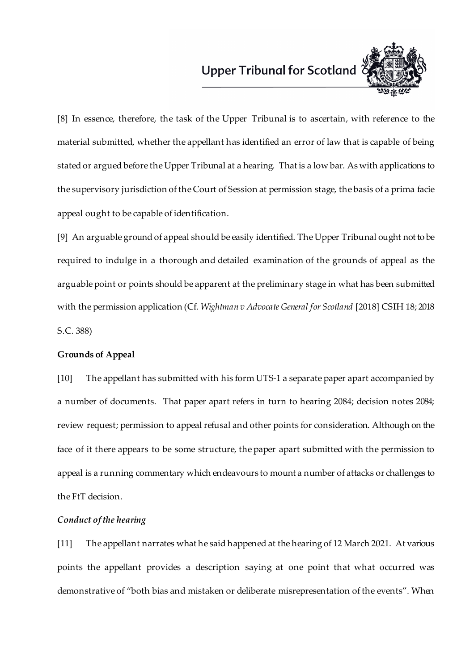

[8] In essence, therefore, the task of the Upper Tribunal is to ascertain, with reference to the material submitted, whether the appellant has identified an error of law that is capable of being stated or argued before the Upper Tribunal at a hearing. That is a low bar. As with applications to the supervisory jurisdiction of the Court of Session at permission stage, the basis of a prima facie appeal ought to be capable of identification.

[9] An arguable ground of appeal should be easily identified. The Upper Tribunal ought not to be required to indulge in a thorough and detailed examination of the grounds of appeal as the arguable point or points should be apparent at the preliminary stage in what has been submitted with the permission application (Cf. *Wightman v Advocate General for Scotland* [2018] CSIH 18; 2018 S.C. 388)

#### **Grounds of Appeal**

[10] The appellant has submitted with his form UTS-1 a separate paper apart accompanied by a number of documents. That paper apart refers in turn to hearing 2084; decision notes 2084; review request; permission to appeal refusal and other points for consideration. Although on the face of it there appears to be some structure, the paper apart submitted with the permission to appeal is a running commentary which endeavours to mount a number of attacks or challenges to the FtT decision.

#### *Conduct of the hearing*

[11] The appellant narrates what he said happened at the hearing of 12 March 2021. At various points the appellant provides a description saying at one point that what occurred was demonstrative of "both bias and mistaken or deliberate misrepresentation of the events". When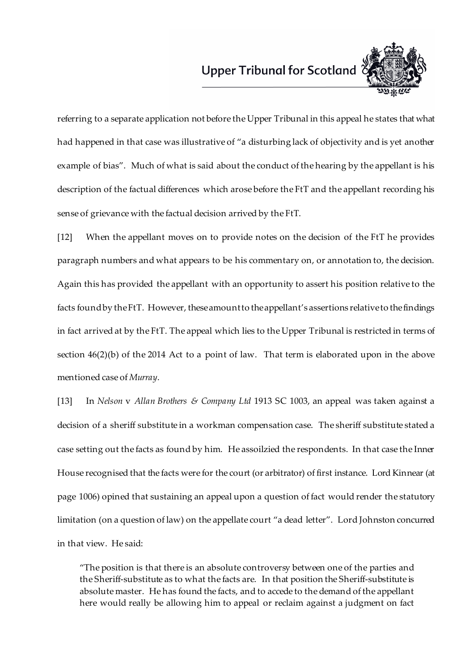

referring to a separate application not before the Upper Tribunal in this appeal he states that what had happened in that case was illustrative of "a disturbing lack of objectivity and is yet another example of bias". Much of what is said about the conduct of the hearing by the appellant is his description of the factual differences which arose before the FtT and the appellant recording his sense of grievance with the factual decision arrived by the FtT.

[12] When the appellant moves on to provide notes on the decision of the FtT he provides paragraph numbers and what appears to be his commentary on, or annotation to, the decision. Again this has provided the appellant with an opportunity to assert his position relative to the facts found by the FtT. However, these amountto the appellant's assertions relative to the findings in fact arrived at by the FtT. The appeal which lies to the Upper Tribunal is restricted in terms of section 46(2)(b) of the 2014 Act to a point of law. That term is elaborated upon in the above mentioned case of *Murray*.

[13] In *Nelson* v *Allan Brothers & Company Ltd* 1913 SC 1003, an appeal was taken against a decision of a sheriff substitute in a workman compensation case. The sheriff substitute stated a case setting out the facts as found by him. He assoilzied the respondents. In that case the Inner House recognised that the facts were for the court (or arbitrator) of first instance. Lord Kinnear (at page 1006) opined that sustaining an appeal upon a question of fact would render the statutory limitation (on a question of law) on the appellate court "a dead letter". Lord Johnston concurred in that view. He said:

"The position is that there is an absolute controversy between one of the parties and the Sheriff-substitute as to what the facts are. In that position the Sheriff-substitute is absolute master. He has found the facts, and to accede to the demand of the appellant here would really be allowing him to appeal or reclaim against a judgment on fact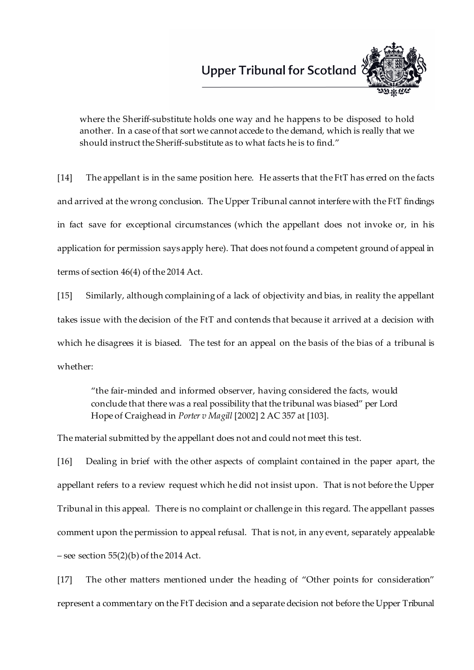

where the Sheriff-substitute holds one way and he happens to be disposed to hold another. In a case of that sort we cannot accede to the demand, which is really that we should instruct the Sheriff-substitute as to what facts he is to find."

[14] The appellant is in the same position here. He asserts that the FtT has erred on the facts and arrived at the wrong conclusion. The Upper Tribunal cannot interfere with the FtT findings in fact save for exceptional circumstances (which the appellant does not invoke or, in his application for permission says apply here). That does not found a competent ground of appeal in terms of section 46(4) of the 2014 Act.

[15] Similarly, although complaining of a lack of objectivity and bias, in reality the appellant takes issue with the decision of the FtT and contends that because it arrived at a decision with which he disagrees it is biased. The test for an appeal on the basis of the bias of a tribunal is whether:

"the fair-minded and informed observer, having considered the facts, would conclude that there was a real possibility that the tribunal was biased" per Lord Hope of Craighead in *Porter v Magill* [2002] 2 AC 357 at [103].

The material submitted by the appellant does not and could not meet this test.

[16] Dealing in brief with the other aspects of complaint contained in the paper apart, the appellant refers to a review request which he did not insist upon. That is not before the Upper Tribunal in this appeal. There is no complaint or challenge in this regard. The appellant passes comment upon the permission to appeal refusal. That is not, in any event, separately appealable – see section  $55(2)(b)$  of the 2014 Act.

[17] The other matters mentioned under the heading of "Other points for consideration" represent a commentary on the FtT decision and a separate decision not before the Upper Tribunal